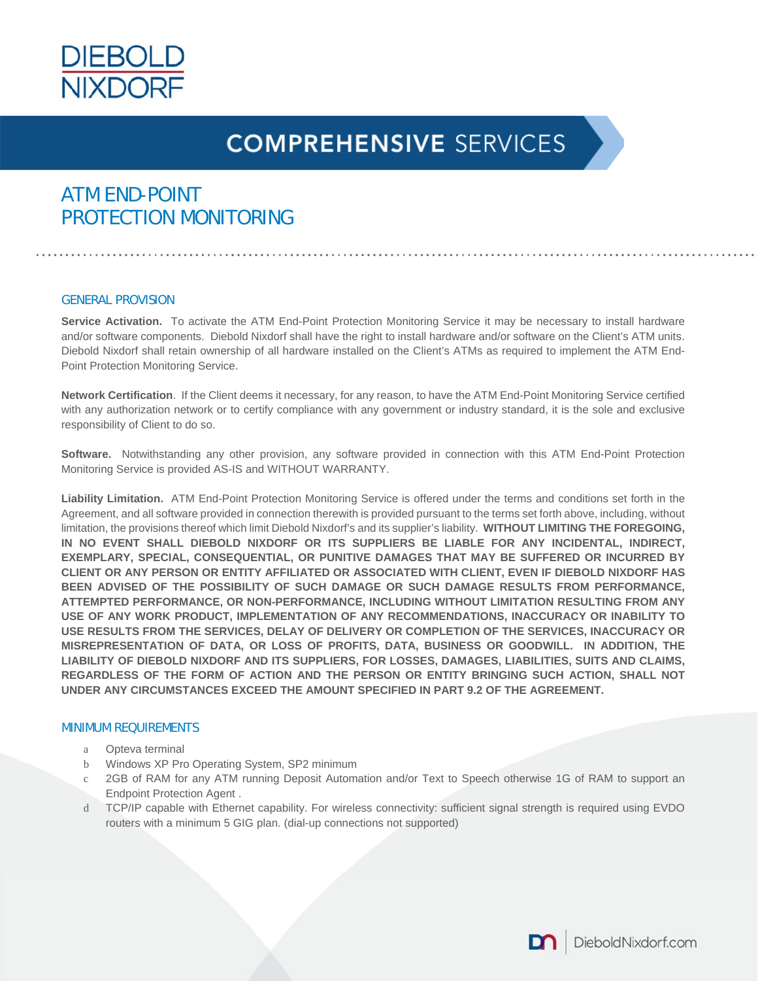

### ATM END-POINT PROTECTION MONITORING

#### GENERAL PROVISION

**Service Activation.** To activate the ATM End-Point Protection Monitoring Service it may be necessary to install hardware and/or software components. Diebold Nixdorf shall have the right to install hardware and/or software on the Client's ATM units. Diebold Nixdorf shall retain ownership of all hardware installed on the Client's ATMs as required to implement the ATM End-Point Protection Monitoring Service.

**Network Certification**. If the Client deems it necessary, for any reason, to have the ATM End-Point Monitoring Service certified with any authorization network or to certify compliance with any government or industry standard, it is the sole and exclusive responsibility of Client to do so.

**Software.** Notwithstanding any other provision, any software provided in connection with this ATM End-Point Protection Monitoring Service is provided AS-IS and WITHOUT WARRANTY.

**Liability Limitation.** ATM End-Point Protection Monitoring Service is offered under the terms and conditions set forth in the Agreement, and all software provided in connection therewith is provided pursuant to the terms set forth above, including, without limitation, the provisions thereof which limit Diebold Nixdorf's and its supplier's liability. **WITHOUT LIMITING THE FOREGOING, IN NO EVENT SHALL DIEBOLD NIXDORF OR ITS SUPPLIERS BE LIABLE FOR ANY INCIDENTAL, INDIRECT, EXEMPLARY, SPECIAL, CONSEQUENTIAL, OR PUNITIVE DAMAGES THAT MAY BE SUFFERED OR INCURRED BY CLIENT OR ANY PERSON OR ENTITY AFFILIATED OR ASSOCIATED WITH CLIENT, EVEN IF DIEBOLD NIXDORF HAS BEEN ADVISED OF THE POSSIBILITY OF SUCH DAMAGE OR SUCH DAMAGE RESULTS FROM PERFORMANCE, ATTEMPTED PERFORMANCE, OR NON-PERFORMANCE, INCLUDING WITHOUT LIMITATION RESULTING FROM ANY USE OF ANY WORK PRODUCT, IMPLEMENTATION OF ANY RECOMMENDATIONS, INACCURACY OR INABILITY TO USE RESULTS FROM THE SERVICES, DELAY OF DELIVERY OR COMPLETION OF THE SERVICES, INACCURACY OR MISREPRESENTATION OF DATA, OR LOSS OF PROFITS, DATA, BUSINESS OR GOODWILL. IN ADDITION, THE LIABILITY OF DIEBOLD NIXDORF AND ITS SUPPLIERS, FOR LOSSES, DAMAGES, LIABILITIES, SUITS AND CLAIMS, REGARDLESS OF THE FORM OF ACTION AND THE PERSON OR ENTITY BRINGING SUCH ACTION, SHALL NOT UNDER ANY CIRCUMSTANCES EXCEED THE AMOUNT SPECIFIED IN PART 9.2 OF THE AGREEMENT.** 

#### MINIMUM REQUIREMENTS

- a Opteva terminal
- b Windows XP Pro Operating System, SP2 minimum
- c 2GB of RAM for any ATM running Deposit Automation and/or Text to Speech otherwise 1G of RAM to support an Endpoint Protection Agent .
- d TCP/IP capable with Ethernet capability. For wireless connectivity: sufficient signal strength is required using EVDO routers with a minimum 5 GIG plan. (dial-up connections not supported)

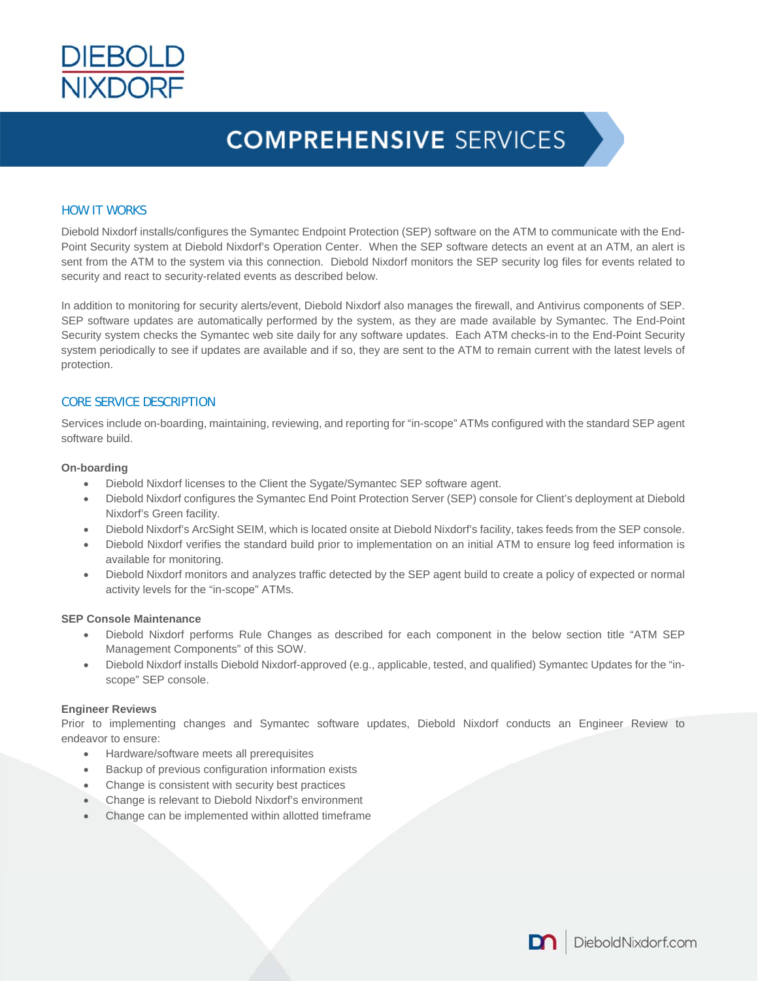

#### HOW IT WORKS

Diebold Nixdorf installs/configures the Symantec Endpoint Protection (SEP) software on the ATM to communicate with the End-Point Security system at Diebold Nixdorf's Operation Center. When the SEP software detects an event at an ATM, an alert is sent from the ATM to the system via this connection. Diebold Nixdorf monitors the SEP security log files for events related to security and react to security-related events as described below.

In addition to monitoring for security alerts/event, Diebold Nixdorf also manages the firewall, and Antivirus components of SEP. SEP software updates are automatically performed by the system, as they are made available by Symantec. The End-Point Security system checks the Symantec web site daily for any software updates. Each ATM checks-in to the End-Point Security system periodically to see if updates are available and if so, they are sent to the ATM to remain current with the latest levels of protection.

#### CORE SERVICE DESCRIPTION

Services include on-boarding, maintaining, reviewing, and reporting for "in-scope" ATMs configured with the standard SEP agent software build.

#### **On-boarding**

- Diebold Nixdorf licenses to the Client the Sygate/Symantec SEP software agent.
- Diebold Nixdorf configures the Symantec End Point Protection Server (SEP) console for Client's deployment at Diebold Nixdorf's Green facility.
- Diebold Nixdorf's ArcSight SEIM, which is located onsite at Diebold Nixdorf's facility, takes feeds from the SEP console.
- Diebold Nixdorf verifies the standard build prior to implementation on an initial ATM to ensure log feed information is available for monitoring.
- Diebold Nixdorf monitors and analyzes traffic detected by the SEP agent build to create a policy of expected or normal activity levels for the "in-scope" ATMs.

#### **SEP Console Maintenance**

- Diebold Nixdorf performs Rule Changes as described for each component in the below section title "ATM SEP Management Components" of this SOW.
- Diebold Nixdorf installs Diebold Nixdorf-approved (e.g., applicable, tested, and qualified) Symantec Updates for the "inscope" SEP console.

#### **Engineer Reviews**

Prior to implementing changes and Symantec software updates, Diebold Nixdorf conducts an Engineer Review to endeavor to ensure:

- Hardware/software meets all prerequisites
- Backup of previous configuration information exists
- Change is consistent with security best practices
- Change is relevant to Diebold Nixdorf's environment
- Change can be implemented within allotted timeframe

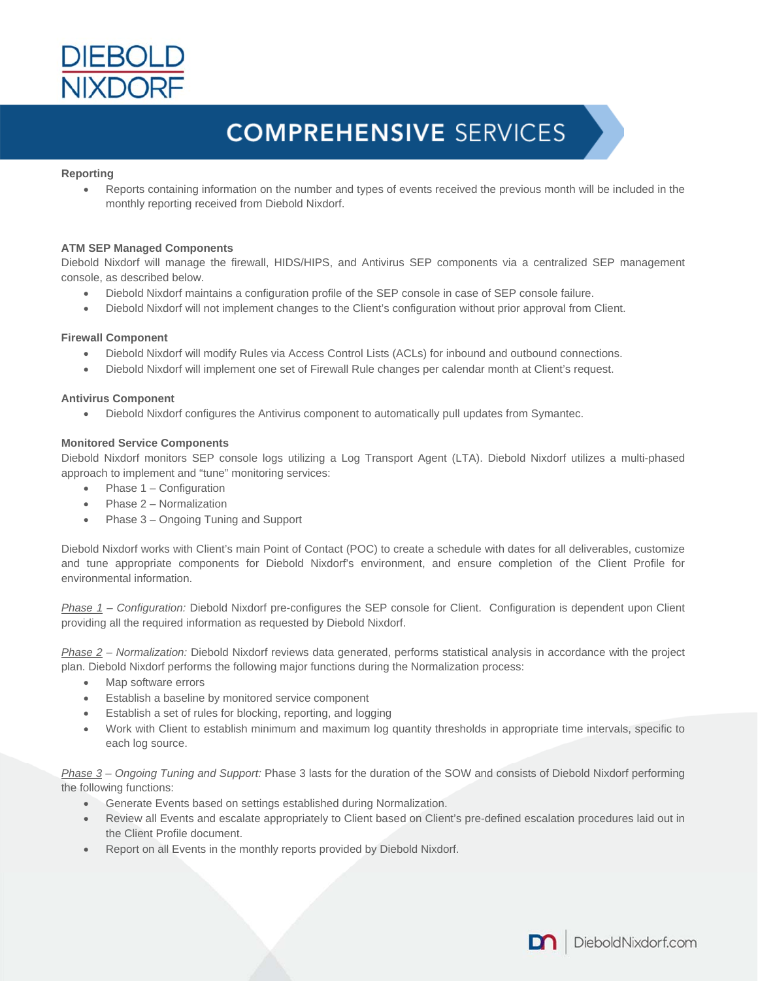

#### **Reporting**

 Reports containing information on the number and types of events received the previous month will be included in the monthly reporting received from Diebold Nixdorf.

#### **ATM SEP Managed Components**

Diebold Nixdorf will manage the firewall, HIDS/HIPS, and Antivirus SEP components via a centralized SEP management console, as described below.

- Diebold Nixdorf maintains a configuration profile of the SEP console in case of SEP console failure.
- Diebold Nixdorf will not implement changes to the Client's configuration without prior approval from Client.

#### **Firewall Component**

- Diebold Nixdorf will modify Rules via Access Control Lists (ACLs) for inbound and outbound connections.
- Diebold Nixdorf will implement one set of Firewall Rule changes per calendar month at Client's request.

#### **Antivirus Component**

Diebold Nixdorf configures the Antivirus component to automatically pull updates from Symantec.

#### **Monitored Service Components**

Diebold Nixdorf monitors SEP console logs utilizing a Log Transport Agent (LTA). Diebold Nixdorf utilizes a multi-phased approach to implement and "tune" monitoring services:

- Phase 1 Configuration
- Phase 2 Normalization
- Phase 3 Ongoing Tuning and Support

Diebold Nixdorf works with Client's main Point of Contact (POC) to create a schedule with dates for all deliverables, customize and tune appropriate components for Diebold Nixdorf's environment, and ensure completion of the Client Profile for environmental information.

*Phase 1 – Configuration:* Diebold Nixdorf pre-configures the SEP console for Client. Configuration is dependent upon Client providing all the required information as requested by Diebold Nixdorf.

*Phase 2 – Normalization:* Diebold Nixdorf reviews data generated, performs statistical analysis in accordance with the project plan. Diebold Nixdorf performs the following major functions during the Normalization process:

- Map software errors
- Establish a baseline by monitored service component
- Establish a set of rules for blocking, reporting, and logging
- Work with Client to establish minimum and maximum log quantity thresholds in appropriate time intervals, specific to each log source.

*Phase 3 – Ongoing Tuning and Support:* Phase 3 lasts for the duration of the SOW and consists of Diebold Nixdorf performing the following functions:

- Generate Events based on settings established during Normalization.
- Review all Events and escalate appropriately to Client based on Client's pre-defined escalation procedures laid out in the Client Profile document.
- Report on all Events in the monthly reports provided by Diebold Nixdorf.

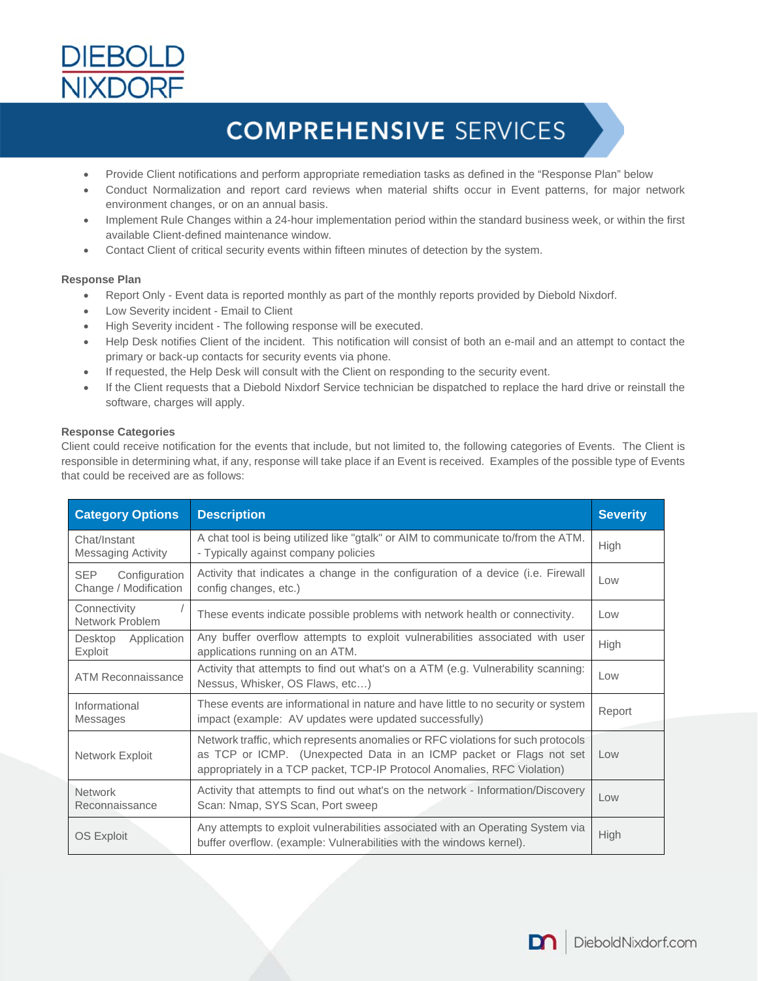

- Provide Client notifications and perform appropriate remediation tasks as defined in the "Response Plan" below
- Conduct Normalization and report card reviews when material shifts occur in Event patterns, for major network environment changes, or on an annual basis.
- Implement Rule Changes within a 24-hour implementation period within the standard business week, or within the first available Client-defined maintenance window.
- Contact Client of critical security events within fifteen minutes of detection by the system.

#### **Response Plan**

- Report Only Event data is reported monthly as part of the monthly reports provided by Diebold Nixdorf.
- Low Severity incident Email to Client
- High Severity incident The following response will be executed.
- Help Desk notifies Client of the incident. This notification will consist of both an e-mail and an attempt to contact the primary or back-up contacts for security events via phone.
- If requested, the Help Desk will consult with the Client on responding to the security event.
- If the Client requests that a Diebold Nixdorf Service technician be dispatched to replace the hard drive or reinstall the software, charges will apply.

#### **Response Categories**

Client could receive notification for the events that include, but not limited to, the following categories of Events. The Client is responsible in determining what, if any, response will take place if an Event is received. Examples of the possible type of Events that could be received are as follows:

| <b>Category Options</b>                              | <b>Description</b>                                                                                                                                                                                                                  | <b>Severity</b> |
|------------------------------------------------------|-------------------------------------------------------------------------------------------------------------------------------------------------------------------------------------------------------------------------------------|-----------------|
| Chat/Instant<br><b>Messaging Activity</b>            | A chat tool is being utilized like "gtalk" or AIM to communicate to/from the ATM.<br>- Typically against company policies                                                                                                           | High            |
| <b>SEP</b><br>Configuration<br>Change / Modification | Activity that indicates a change in the configuration of a device (i.e. Firewall<br>config changes, etc.)                                                                                                                           | Low             |
| Connectivity<br>Network Problem                      | These events indicate possible problems with network health or connectivity.                                                                                                                                                        | Low             |
| Desktop<br>Application<br>Exploit                    | Any buffer overflow attempts to exploit vulnerabilities associated with user<br>applications running on an ATM.                                                                                                                     | High            |
| ATM Reconnaissance                                   | Activity that attempts to find out what's on a ATM (e.g. Vulnerability scanning:<br>Nessus, Whisker, OS Flaws, etc)                                                                                                                 | Low             |
| Informational<br>Messages                            | These events are informational in nature and have little to no security or system<br>impact (example: AV updates were updated successfully)                                                                                         | Report          |
| Network Exploit                                      | Network traffic, which represents anomalies or RFC violations for such protocols<br>as TCP or ICMP. (Unexpected Data in an ICMP packet or Flags not set<br>appropriately in a TCP packet, TCP-IP Protocol Anomalies, RFC Violation) | Low             |
| <b>Network</b><br>Reconnaissance                     | Activity that attempts to find out what's on the network - Information/Discovery<br>Scan: Nmap, SYS Scan, Port sweep                                                                                                                | Low             |
| OS Exploit                                           | Any attempts to exploit vulnerabilities associated with an Operating System via<br>buffer overflow. (example: Vulnerabilities with the windows kernel).                                                                             | High            |

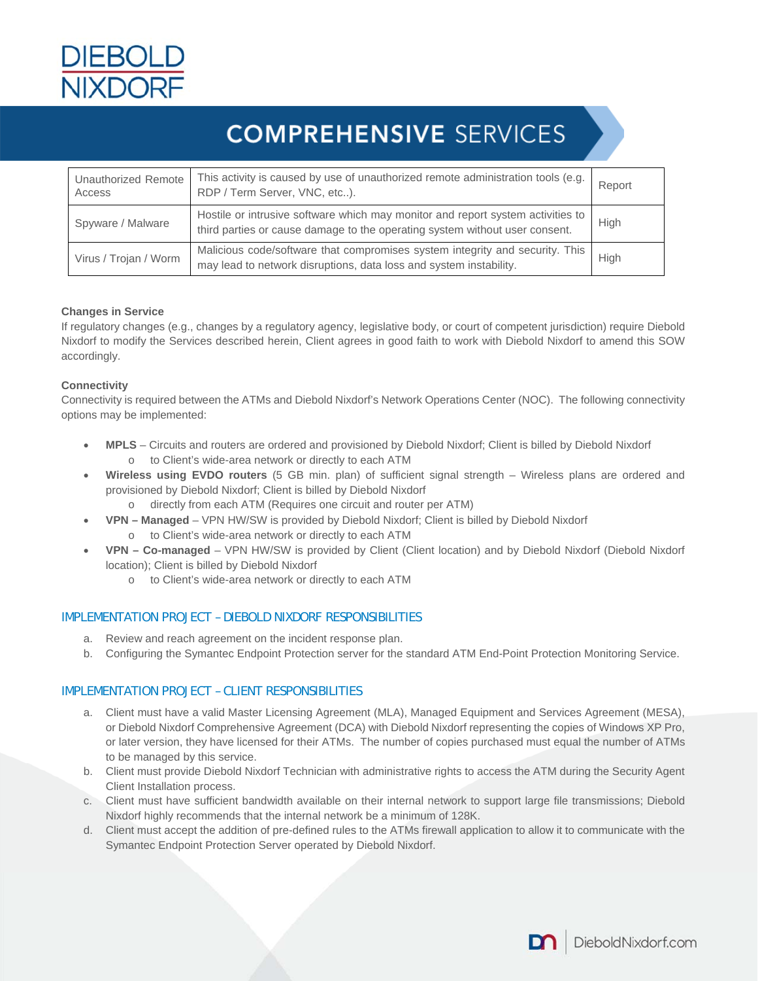

| Unauthorized Remote<br>Access | This activity is caused by use of unauthorized remote administration tools (e.g.<br>RDP / Term Server, VNC, etc).                                              | Report |
|-------------------------------|----------------------------------------------------------------------------------------------------------------------------------------------------------------|--------|
| Spyware / Malware             | Hostile or intrusive software which may monitor and report system activities to<br>third parties or cause damage to the operating system without user consent. | High   |
| Virus / Trojan / Worm         | Malicious code/software that compromises system integrity and security. This<br>may lead to network disruptions, data loss and system instability.             | High   |

#### **Changes in Service**

If regulatory changes (e.g., changes by a regulatory agency, legislative body, or court of competent jurisdiction) require Diebold Nixdorf to modify the Services described herein, Client agrees in good faith to work with Diebold Nixdorf to amend this SOW accordingly.

#### **Connectivity**

Connectivity is required between the ATMs and Diebold Nixdorf's Network Operations Center (NOC). The following connectivity options may be implemented:

- **MPLS** Circuits and routers are ordered and provisioned by Diebold Nixdorf; Client is billed by Diebold Nixdorf o to Client's wide-area network or directly to each ATM
- **Wireless using EVDO routers** (5 GB min. plan) of sufficient signal strength Wireless plans are ordered and provisioned by Diebold Nixdorf; Client is billed by Diebold Nixdorf
	- o directly from each ATM (Requires one circuit and router per ATM)
- **VPN Managed** VPN HW/SW is provided by Diebold Nixdorf; Client is billed by Diebold Nixdorf
	- o to Client's wide-area network or directly to each ATM
- **VPN Co-managed** VPN HW/SW is provided by Client (Client location) and by Diebold Nixdorf (Diebold Nixdorf location); Client is billed by Diebold Nixdorf
	- o to Client's wide-area network or directly to each ATM

### IMPLEMENTATION PROJECT – DIEBOLD NIXDORF RESPONSIBILITIES

- a. Review and reach agreement on the incident response plan.
- b. Configuring the Symantec Endpoint Protection server for the standard ATM End-Point Protection Monitoring Service.

### IMPLEMENTATION PROJECT – CLIENT RESPONSIBILITIES

- a. Client must have a valid Master Licensing Agreement (MLA), Managed Equipment and Services Agreement (MESA), or Diebold Nixdorf Comprehensive Agreement (DCA) with Diebold Nixdorf representing the copies of Windows XP Pro, or later version, they have licensed for their ATMs. The number of copies purchased must equal the number of ATMs to be managed by this service.
- b. Client must provide Diebold Nixdorf Technician with administrative rights to access the ATM during the Security Agent Client Installation process.
- c. Client must have sufficient bandwidth available on their internal network to support large file transmissions; Diebold Nixdorf highly recommends that the internal network be a minimum of 128K.
- d. Client must accept the addition of pre-defined rules to the ATMs firewall application to allow it to communicate with the Symantec Endpoint Protection Server operated by Diebold Nixdorf.